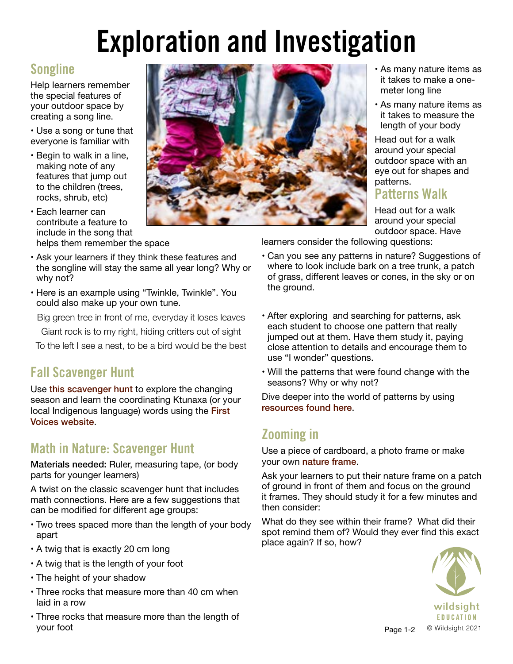# Exploration and Investigation

# Songline

Help learners remember the special features of your outdoor space by creating a song line.

- Use a song or tune that everyone is familiar with
- Begin to walk in a line, making note of any features that jump out to the children (trees, rocks, shrub, etc)
- Each learner can contribute a feature to include in the song that helps them remember the space
- Ask your learners if they think these features and the songline will stay the same all year long? Why or why not?
- Here is an example using "Twinkle, Twinkle". You could also make up your own tune.
- Big green tree in front of me, everyday it loses leaves Giant rock is to my right, hiding critters out of sight
- To the left I see a nest, to be a bird would be the best

## Fall Scavenger Hunt

Use [this scavenger hunt](https://wildsight.ca/wp-content/uploads/2021/10/KTUNAXA-Fall-scavenger-hunt1.pdf) to explore the changing season and learn the coordinating Ktunaxa (or your local Indigenous language) words using the First [Voices website](https://www.firstvoices.com).

## Math in Nature: Scavenger Hunt

Materials needed: Ruler, measuring tape, (or body parts for younger learners)

A twist on the classic scavenger hunt that includes math connections. Here are a few suggestions that can be modified for different age groups:

- Two trees spaced more than the length of your body apart
- A twig that is exactly 20 cm long
- A twig that is the length of your foot
- The height of your shadow
- Three rocks that measure more than 40 cm when laid in a row
- Three rocks that measure more than the length of your foot



- As many nature items as it takes to make a onemeter long line
- As many nature items as it takes to measure the length of your body

Head out for a walk around your special outdoor space with an eye out for shapes and patterns.

#### Patterns Walk

Head out for a walk around your special outdoor space. Have

learners consider the following questions:

- Can you see any patterns in nature? Suggestions of where to look include bark on a tree trunk, a patch of grass, different leaves or cones, in the sky or on the ground.
- After exploring and searching for patterns, ask each student to choose one pattern that really jumped out at them. Have them study it, paying close attention to details and encourage them to use "I wonder" questions.
- Will the patterns that were found change with the seasons? Why or why not?

Dive deeper into the world of patterns by using [resources found here](https://secure.wildsight.ca/civicrm/mailing/view?id=2412&reset=1).

## Zooming in

Use a piece of cardboard, a photo frame or make your own [nature frame](https://wildsight.ca/wp-content/uploads/2020/04/lesson-plan-nature-frame-updated.pdf).

Ask your learners to put their nature frame on a patch of ground in front of them and focus on the ground it frames. They should study it for a few minutes and then consider:

What do they see within their frame? What did their spot remind them of? Would they ever find this exact place again? If so, how?



Page 1-2 <sup>©</sup> Wildsight 2021